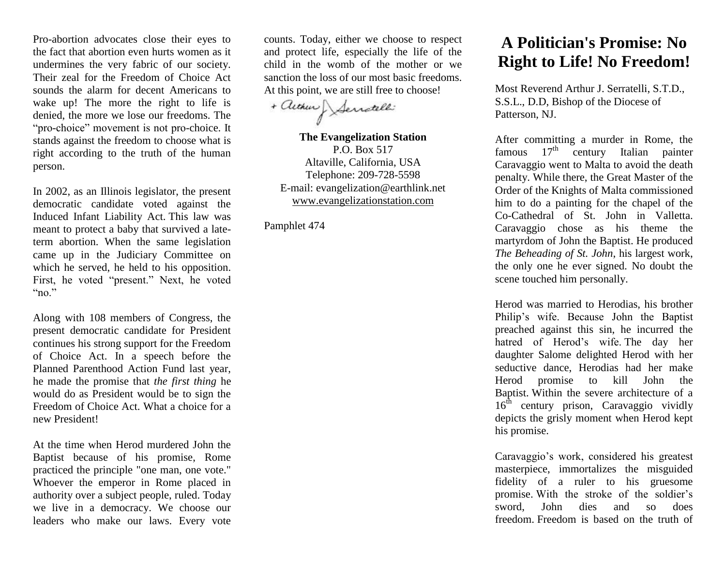Pro-abortion advocates close their eyes to the fact that abortion even hurts women as it undermines the very fabric of our society. Their zeal for the Freedom of Choice Act sounds the alarm for decent Americans to wake up! The more the right to life is denied, the more we lose our freedoms. The "pro-choice" movement is not pro-choice. It stands against the freedom to choose what is right according to the truth of the human person.

In 2002, as an Illinois legislator, the present democratic candidate voted against the Induced Infant Liability Act. This law was meant to protect a baby that survived a lateterm abortion. When the same legislation came up in the Judiciary Committee on which he served, he held to his opposition. First, he voted "present." Next, he voted "no."

Along with 108 members of Congress, the present democratic candidate for President continues his strong support for the Freedom of Choice Act. In a speech before the Planned Parenthood Action Fund last year, he made the promise that *the first thing* he would do as President would be to sign the Freedom of Choice Act. What a choice for a new President!

At the time when Herod murdered John the Baptist because of his promise, Rome practiced the principle "one man, one vote." Whoever the emperor in Rome placed in authority over a subject people, ruled. Today we live in a democracy. We choose our leaders who make our laws. Every vote counts. Today, either we choose to respect and protect life, especially the life of the child in the womb of the mother or we sanction the loss of our most basic freedoms. At this point, we are still free to choose!

+ autom Servatelli

**The Evangelization Station** P.O. Box 517 Altaville, California, USA Telephone: 209-728-5598 E-mail: evangelization@earthlink.net [www.evangelizationstation.com](http://www.pjpiisoe.org/)

Pamphlet 474

## **A Politician's Promise: No Right to Life! No Freedom!**

Most Reverend Arthur J. Serratelli, S.T.D., S.S.L., D.D, Bishop of the Diocese of Patterson, NJ.

After committing a murder in Rome, the famous  $17<sup>th</sup>$  century Italian painter Caravaggio went to Malta to avoid the death penalty. While there, the Great Master of the Order of the Knights of Malta commissioned him to do a painting for the chapel of the Co-Cathedral of St. John in Valletta. Caravaggio chose as his theme the martyrdom of John the Baptist. He produced *The Beheading of St. John*, his largest work, the only one he ever signed. No doubt the scene touched him personally.

Herod was married to Herodias, his brother Philip's wife. Because John the Baptist preached against this sin, he incurred the hatred of Herod's wife. The day her daughter Salome delighted Herod with her seductive dance, Herodias had her make Herod promise to kill John the Baptist. Within the severe architecture of a  $16<sup>th</sup>$  century prison, Caravaggio vividly depicts the grisly moment when Herod kept his promise.

Caravaggio's work, considered his greatest masterpiece, immortalizes the misguided fidelity of a ruler to his gruesome promise. With the stroke of the soldier's sword, John dies and so does freedom. Freedom is based on the truth of